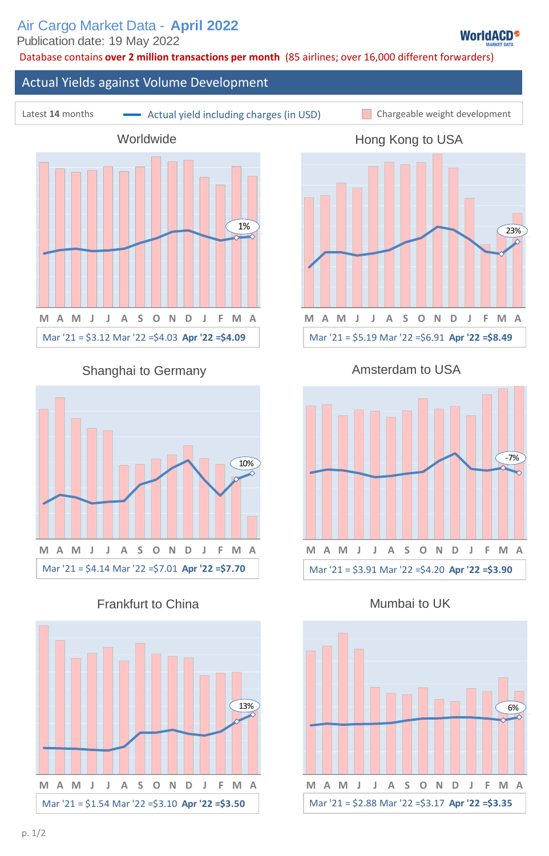Database contains **over 2 million transactions per month** (85 airlines; over 16,000 different forwarders)

# Latest 14 months **Chargeable Weight Actual yield including charges (in USD)** Chargeable weight development Actual Yields against Volume Development Hong Kong to USA Shanghai to Germany **Amsterdam to USA M A M J J A S O N D J F M A Worldwide** 1%<br>
M A M J J A S O N D J F M<br>
Mar '21 = \$3.12 Mar '22 =\$4.03 **Apr '22 =\$4.09 M A M J J A S O N D J F M A** Mar '21 = \$5.19 Mar '22 =\$6.91 **Apr '22 =\$8.49** Air Cargo Market Data - April 2022<br>
Prublishers cover a suit of the state of the state of the state of the state of the state of the state of the state of the state of the state of the state of the state of the state of th 1.4<br>  $M \t{A} M J J J A S O N D J F M A\n9\nMart '21 = $5.19 M at '22 = $6.91 Apr '22 = $8.49\nAmsterdam to USA\n1060\n1070\n1080\n1080\nMart '21 = $3.91 M at '22 = $4.20 Apr '22 = $3.90\nMumbai to UK$



Frankfurt to China **Mumbai to UK** 



Mar '21 = \$3.91 Mar '22 =\$4.20 **Apr '22 =\$3.90 M A M J J A S O N D J F M A**

-7%